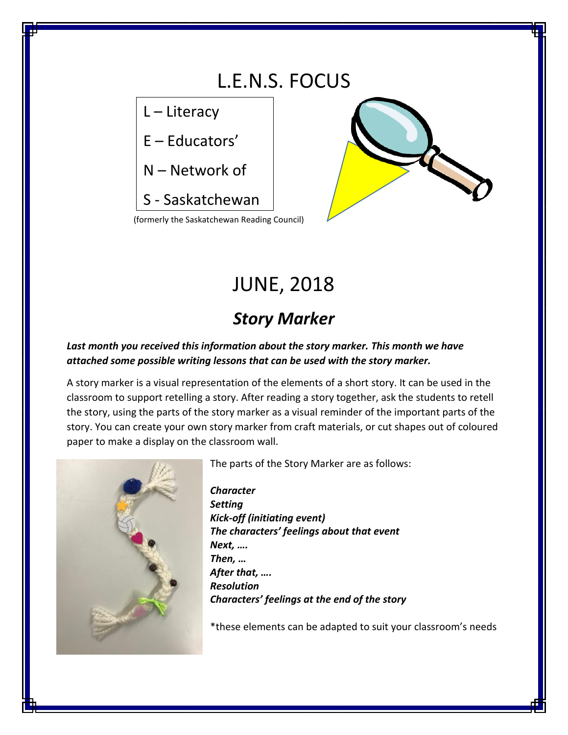

# JUNE, 2018

## *Story Marker*

#### Last month you received this information about the story marker. This month we have *attached some possible writing lessons that can be used with the story marker.*

A story marker is a visual representation of the elements of a short story. It can be used in the classroom to support retelling a story. After reading a story together, ask the students to retell the story, using the parts of the story marker as a visual reminder of the important parts of the story. You can create your own story marker from craft materials, or cut shapes out of coloured paper to make a display on the classroom wall.



The parts of the Story Marker are as follows:

*Character Setting Kick-off (initiating event) The characters' feelings about that event Next, …. Then, … After that, …. Resolution Characters' feelings at the end of the story*

\*these elements can be adapted to suit your classroom's needs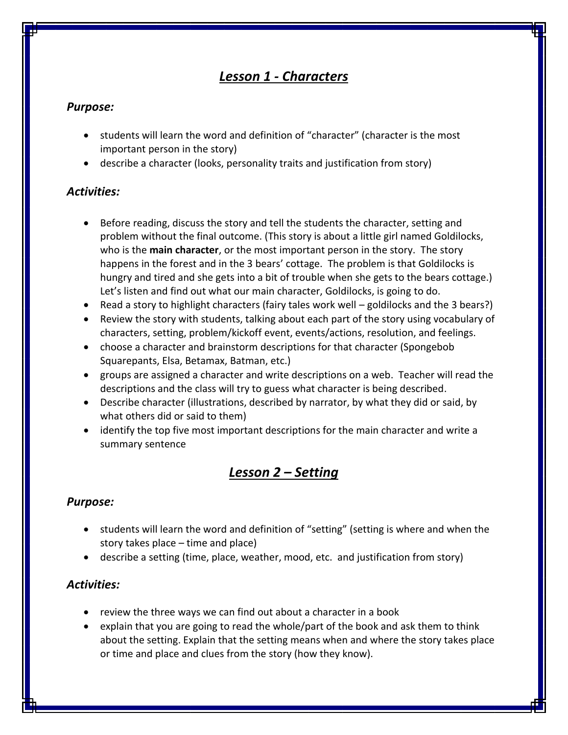## *Lesson 1 - Characters*

#### *Purpose:*

- students will learn the word and definition of "character" (character is the most important person in the story)
- describe a character (looks, personality traits and justification from story)

#### *Activities:*

- Before reading, discuss the story and tell the students the character, setting and problem without the final outcome. (This story is about a little girl named Goldilocks, who is the **main character**, or the most important person in the story. The story happens in the forest and in the 3 bears' cottage. The problem is that Goldilocks is hungry and tired and she gets into a bit of trouble when she gets to the bears cottage.) Let's listen and find out what our main character, Goldilocks, is going to do.
- Read a story to highlight characters (fairy tales work well goldilocks and the 3 bears?)
- Review the story with students, talking about each part of the story using vocabulary of characters, setting, problem/kickoff event, events/actions, resolution, and feelings.
- choose a character and brainstorm descriptions for that character (Spongebob Squarepants, Elsa, Betamax, Batman, etc.)
- groups are assigned a character and write descriptions on a web. Teacher will read the descriptions and the class will try to guess what character is being described.
- Describe character (illustrations, described by narrator, by what they did or said, by what others did or said to them)
- identify the top five most important descriptions for the main character and write a summary sentence

## *Lesson 2 – Setting*

#### *Purpose:*

- students will learn the word and definition of "setting" (setting is where and when the story takes place – time and place)
- describe a setting (time, place, weather, mood, etc. and justification from story)

#### *Activities:*

- review the three ways we can find out about a character in a book
- explain that you are going to read the whole/part of the book and ask them to think about the setting. Explain that the setting means when and where the story takes place or time and place and clues from the story (how they know).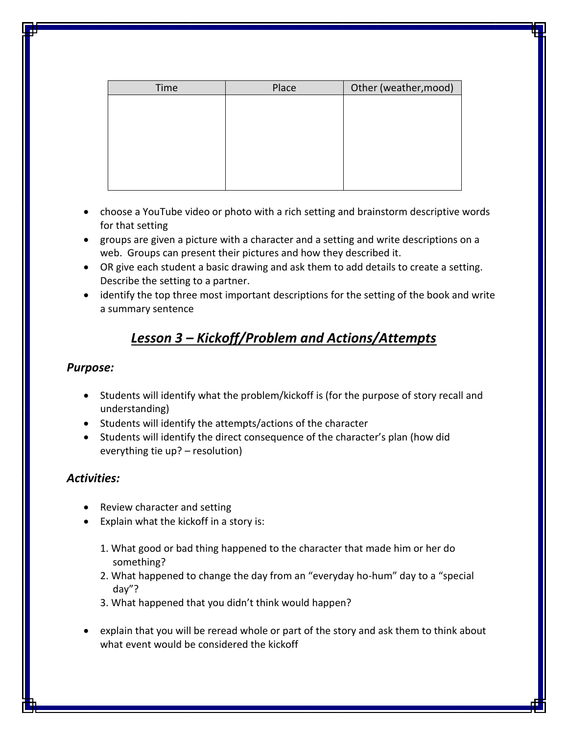| Time | Place | Other (weather, mood) |
|------|-------|-----------------------|
|      |       |                       |
|      |       |                       |
|      |       |                       |
|      |       |                       |
|      |       |                       |
|      |       |                       |
|      |       |                       |

- choose a YouTube video or photo with a rich setting and brainstorm descriptive words for that setting
- groups are given a picture with a character and a setting and write descriptions on a web. Groups can present their pictures and how they described it.
- OR give each student a basic drawing and ask them to add details to create a setting. Describe the setting to a partner.
- identify the top three most important descriptions for the setting of the book and write a summary sentence

## *Lesson 3 – Kickoff/Problem and Actions/Attempts*

#### *Purpose:*

- Students will identify what the problem/kickoff is (for the purpose of story recall and understanding)
- Students will identify the attempts/actions of the character
- Students will identify the direct consequence of the character's plan (how did everything tie up? – resolution)

#### *Activities:*

- Review character and setting
- Explain what the kickoff in a story is:
	- 1. What good or bad thing happened to the character that made him or her do something?
	- 2. What happened to change the day from an "everyday ho-hum" day to a "special day"?
	- 3. What happened that you didn't think would happen?
- explain that you will be reread whole or part of the story and ask them to think about what event would be considered the kickoff